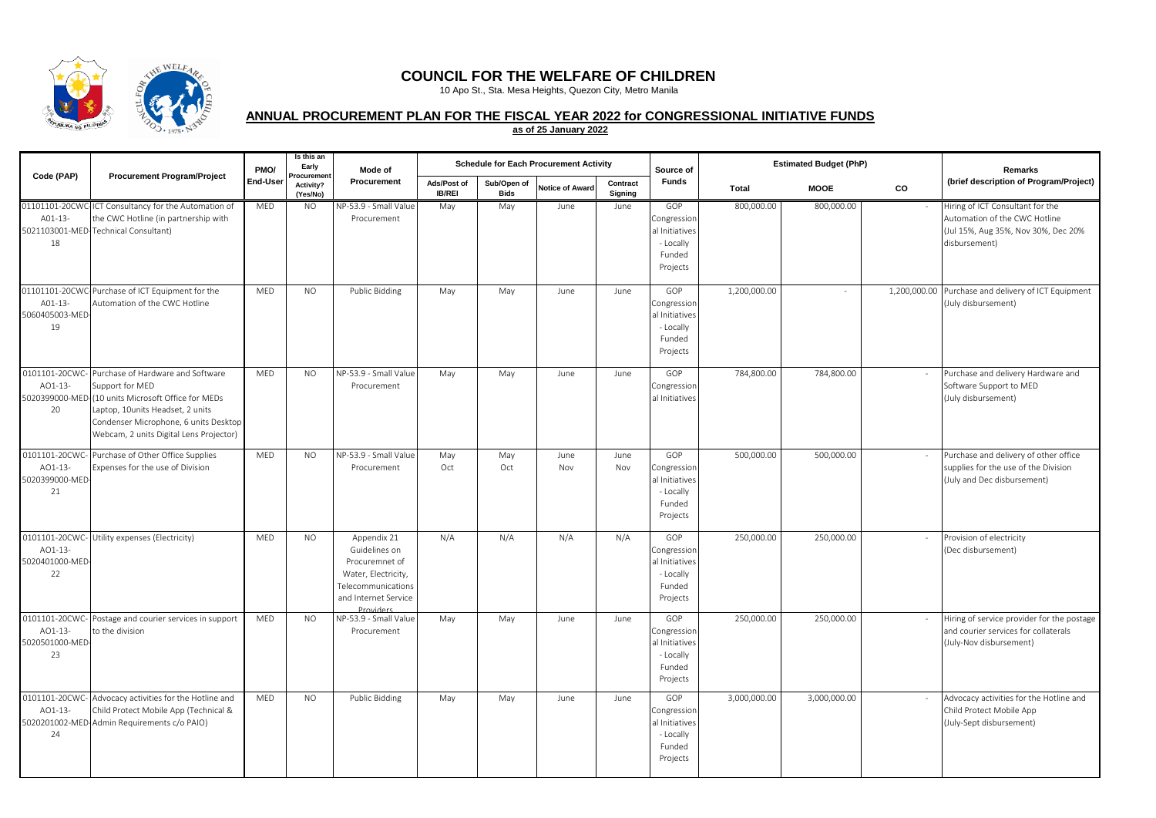

## **COUNCIL FOR THE WELFARE OF CHILDREN**

10 Apo St., Sta. Mesa Heights, Quezon City, Metro Manila

## **ANNUAL PROCUREMENT PLAN FOR THE FISCAL YEAR 2022 for CONGRESSIONAL INITIATIVE FUNDS**

**as of 25 January 2022**

| Code (PAP)                                         | <b>Procurement Program/Project</b>                                                                                                                                                                                                 | PMO/<br>End-User | Is this an<br>Early<br>Procureme | Mode of<br>Procurement                                                                                                                 | <b>Schedule for Each Procurement Activity</b> |                            |                        |                     | Source of                                                               | <b>Estimated Budget (PhP)</b> |              |    | <b>Remarks</b>                                                                                                            |
|----------------------------------------------------|------------------------------------------------------------------------------------------------------------------------------------------------------------------------------------------------------------------------------------|------------------|----------------------------------|----------------------------------------------------------------------------------------------------------------------------------------|-----------------------------------------------|----------------------------|------------------------|---------------------|-------------------------------------------------------------------------|-------------------------------|--------------|----|---------------------------------------------------------------------------------------------------------------------------|
|                                                    |                                                                                                                                                                                                                                    |                  | Activity?<br>(Yes/No)            |                                                                                                                                        | Ads/Post of<br><b>IB/REI</b>                  | Sub/Open of<br><b>Bids</b> | <b>Notice of Award</b> | Contract<br>Signing | <b>Funds</b>                                                            | <b>Total</b>                  | <b>MOOE</b>  | CO | (brief description of Program/Project)                                                                                    |
| A01-13-<br>18                                      | 01101101-20CWC-ICT Consultancy for the Automation of<br>the CWC Hotline (in partnership with<br>5021103001-MED-Technical Consultant)                                                                                               | MED              | <b>NO</b>                        | NP-53.9 - Small Value<br>Procurement                                                                                                   | May                                           | May                        | June                   | June                | GOP<br>Congression<br>al Initiatives<br>- Locally<br>Funded<br>Projects | 800,000.00                    | 800,000.00   |    | Hiring of ICT Consultant for the<br>Automation of the CWC Hotline<br>(Jul 15%, Aug 35%, Nov 30%, Dec 20%<br>disbursement) |
| A01-13-<br>5060405003-MED-<br>19                   | 01101101-20CWC-Purchase of ICT Equipment for the<br>Automation of the CWC Hotline                                                                                                                                                  | <b>MED</b>       | <b>NO</b>                        | Public Bidding                                                                                                                         | May                                           | May                        | June                   | June                | GOP<br>Congression<br>al Initiatives<br>- Locally<br>Funded<br>Projects | 1,200,000.00                  |              |    | 1,200,000.00 Purchase and delivery of ICT Equipment<br>(July disbursement)                                                |
| 0101101-20CWC-<br>AO1-13-<br>20                    | Purchase of Hardware and Software<br>Support for MED<br>5020399000-MED-(10 units Microsoft Office for MEDs<br>Laptop, 10units Headset, 2 units<br>Condenser Microphone, 6 units Desktop<br>Webcam, 2 units Digital Lens Projector) | MED              | <b>NO</b>                        | NP-53.9 - Small Value<br>Procurement                                                                                                   | May                                           | May                        | June                   | June                | GOP<br>Congression<br>al Initiatives                                    | 784,800.00                    | 784,800.00   |    | Purchase and delivery Hardware and<br>Software Support to MED<br>(July disbursement)                                      |
| AO1-13-<br>5020399000-MED-<br>21                   | 0101101-20CWC- Purchase of Other Office Supplies<br>Expenses for the use of Division                                                                                                                                               | MED              | <b>NO</b>                        | NP-53.9 - Small Value<br>Procurement                                                                                                   | May<br>Oct                                    | May<br>Oct                 | June<br>Nov            | June<br>Nov         | GOP<br>Congression<br>al Initiatives<br>- Locally<br>Funded<br>Projects | 500,000.00                    | 500,000.00   |    | Purchase and delivery of other office<br>supplies for the use of the Division<br>(July and Dec disbursement)              |
| 0101101-20CWC-<br>AO1-13-<br>5020401000-MED-<br>22 | Jtility expenses (Electricity)                                                                                                                                                                                                     | MED              | <b>NO</b>                        | Appendix 21<br>Guidelines on<br>Procuremnet of<br>Water, Electricity,<br><b>Telecommunications</b><br>and Internet Service<br>Provider | N/A                                           | N/A                        | N/A                    | N/A                 | GOP<br>Congression<br>al Initiatives<br>- Locally<br>Funded<br>Projects | 250,000.00                    | 250,000.00   |    | Provision of electricity<br>(Dec disbursement)                                                                            |
| 0101101-20CWC-<br>AO1-13-<br>5020501000-MED-<br>23 | Postage and courier services in support<br>to the division                                                                                                                                                                         | <b>MED</b>       | N <sub>O</sub>                   | NP-53.9 - Small Value<br>Procurement                                                                                                   | May                                           | May                        | June                   | June                | GOP<br>Congression<br>al Initiatives<br>- Locally<br>Funded<br>Projects | 250,000.00                    | 250,000.00   |    | Hiring of service provider for the postage<br>and courier services for collaterals<br>(July-Nov disbursement)             |
| AO1-13-<br>24                                      | 0101101-20CWC- Advocacy activities for the Hotline and<br>Child Protect Mobile App (Technical &<br>5020201002-MED-Admin Requirements c/o PAIO)                                                                                     | <b>MED</b>       | <b>NO</b>                        | Public Bidding                                                                                                                         | May                                           | May                        | June                   | June                | GOP<br>Congression<br>al Initiatives<br>- Locally<br>Funded<br>Projects | 3,000,000.00                  | 3,000,000.00 |    | Advocacy activities for the Hotline and<br>Child Protect Mobile App<br>(July-Sept disbursement)                           |